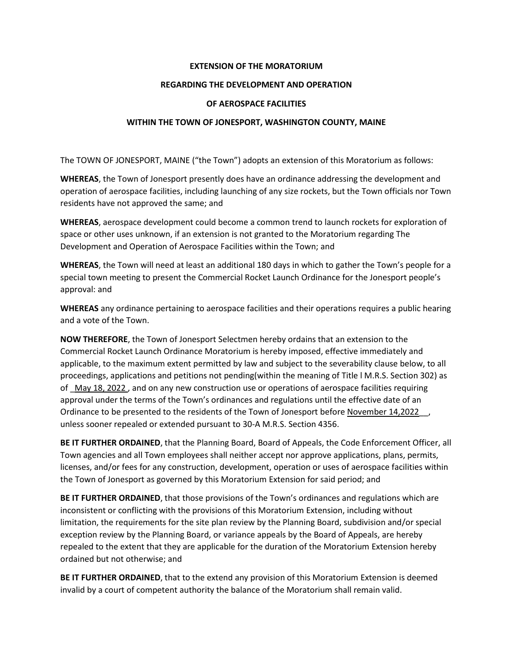## **EXTENSION OF THE MORATORIUM**

## **REGARDING THE DEVELOPMENT AND OPERATION**

## **OF AEROSPACE FACILITIES**

## **WITHIN THE TOWN OF JONESPORT, WASHINGTON COUNTY, MAINE**

The TOWN OF JONESPORT, MAINE ("the Town") adopts an extension of this Moratorium as follows:

**WHEREAS**, the Town of Jonesport presently does have an ordinance addressing the development and operation of aerospace facilities, including launching of any size rockets, but the Town officials nor Town residents have not approved the same; and

**WHEREAS**, aerospace development could become a common trend to launch rockets for exploration of space or other uses unknown, if an extension is not granted to the Moratorium regarding The Development and Operation of Aerospace Facilities within the Town; and

**WHEREAS**, the Town will need at least an additional 180 days in which to gather the Town's people for a special town meeting to present the Commercial Rocket Launch Ordinance for the Jonesport people's approval: and

**WHEREAS** any ordinance pertaining to aerospace facilities and their operations requires a public hearing and a vote of the Town.

**NOW THEREFORE**, the Town of Jonesport Selectmen hereby ordains that an extension to the Commercial Rocket Launch Ordinance Moratorium is hereby imposed, effective immediately and applicable, to the maximum extent permitted by law and subject to the severability clause below, to all proceedings, applications and petitions not pending(within the meaning of Title l M.R.S. Section 302) as of May 18, 2022, and on any new construction use or operations of aerospace facilities requiring approval under the terms of the Town's ordinances and regulations until the effective date of an Ordinance to be presented to the residents of the Town of Jonesport before November 14,2022\_\_, unless sooner repealed or extended pursuant to 30-A M.R.S. Section 4356.

**BE IT FURTHER ORDAINED**, that the Planning Board, Board of Appeals, the Code Enforcement Officer, all Town agencies and all Town employees shall neither accept nor approve applications, plans, permits, licenses, and/or fees for any construction, development, operation or uses of aerospace facilities within the Town of Jonesport as governed by this Moratorium Extension for said period; and

**BE IT FURTHER ORDAINED**, that those provisions of the Town's ordinances and regulations which are inconsistent or conflicting with the provisions of this Moratorium Extension, including without limitation, the requirements for the site plan review by the Planning Board, subdivision and/or special exception review by the Planning Board, or variance appeals by the Board of Appeals, are hereby repealed to the extent that they are applicable for the duration of the Moratorium Extension hereby ordained but not otherwise; and

**BE IT FURTHER ORDAINED**, that to the extend any provision of this Moratorium Extension is deemed invalid by a court of competent authority the balance of the Moratorium shall remain valid.